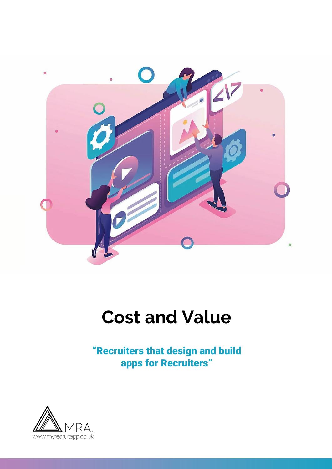

## **Cost and Value**

"Recruiters that design and build apps for Recruiters"

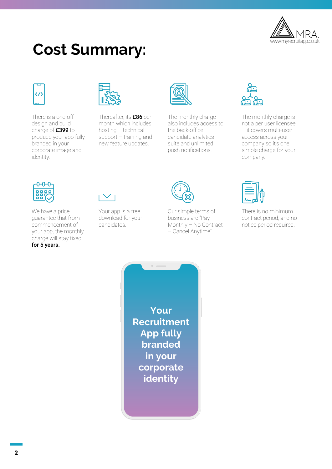

## **Cost Summary:**



There is a one-off design and build charge of £399 to produce your app fully branded in your corporate image and identity.



Thereafter, its £86 per month which includes hosting – technical support – training and new feature updates.



The monthly charge also includes access to the back-office candidate analytics suite and unlimited push notifications.



The monthly charge is not a per user licensee – it covers multi-user access across your company so it's one simple charge for your company.



We have a price guarantee that from commencement of your app, the monthly charge will stay fixed

for 5 years.

Your app is a free download for your candidates.



Our simple terms of business are "Pay Monthly – No Contract – Cancel Anytime"



There is no minimum contract period, and no notice period required.